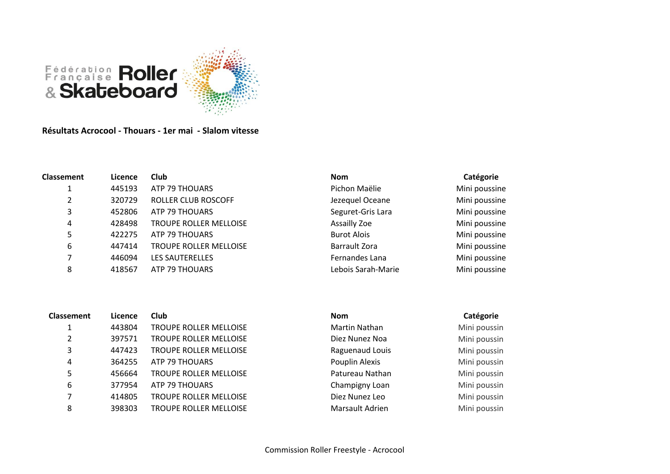

**Résultats Acrocool - Thouars - 1er mai - Slalom vitesse**

| <b>Classement</b> | Licence | <b>Club</b>                   | <b>Nom</b>         | Catégorie     |
|-------------------|---------|-------------------------------|--------------------|---------------|
|                   | 445193  | ATP 79 THOUARS                | Pichon Maëlie      | Mini poussine |
| 2                 | 320729  | ROLLER CLUB ROSCOFF           | Jezequel Oceane    | Mini poussine |
| 3                 | 452806  | ATP 79 THOUARS                | Seguret-Gris Lara  | Mini poussine |
| 4                 | 428498  | <b>TROUPE ROLLER MELLOISE</b> | Assailly Zoe       | Mini poussine |
| 5                 | 422275  | ATP 79 THOUARS                | <b>Burot Alois</b> | Mini poussine |
| 6                 | 447414  | <b>TROUPE ROLLER MELLOISE</b> | Barrault Zora      | Mini poussine |
| 7                 | 446094  | <b>LES SAUTERELLES</b>        | Fernandes Lana     | Mini poussine |
| 8                 | 418567  | ATP 79 THOUARS                | Lebois Sarah-Marie | Mini poussine |
|                   |         |                               |                    |               |
| <b>Classement</b> | Licence | <b>Club</b>                   | <b>Nom</b>         | Catégorie     |

| lassement      | Licence | Club                   | <b>Nom</b>      | Catégorie    |
|----------------|---------|------------------------|-----------------|--------------|
|                | 443804  | TROUPE ROLLER MELLOISE | Martin Nathan   | Mini poussin |
| $\overline{2}$ | 397571  | TROUPE ROLLER MELLOISE | Diez Nunez Noa  | Mini poussin |
| 3              | 447423  | TROUPE ROLLER MELLOISE | Raguenaud Louis | Mini poussin |
| 4              | 364255  | ATP 79 THOUARS         | Pouplin Alexis  | Mini poussin |
| 5              | 456664  | TROUPE ROLLER MELLOISE | Patureau Nathan | Mini poussin |
| 6              | 377954  | ATP 79 THOUARS         | Champigny Loan  | Mini poussin |
| 7              | 414805  | TROUPE ROLLER MELLOISE | Diez Nunez Leo  | Mini poussin |
| 8              | 398303  | TROUPE ROLLER MELLOISE | Marsault Adrien | Mini poussin |
|                |         |                        |                 |              |

Diez Nunez Noa Mini poussin Raguenaud Louis Mini poussin Pouplin Alexis Mini poussin Patureau Nathan Mini poussin Champigny Loan Mini poussin Diez Nunez Leo Mini poussin Marsault Adrien Mini poussin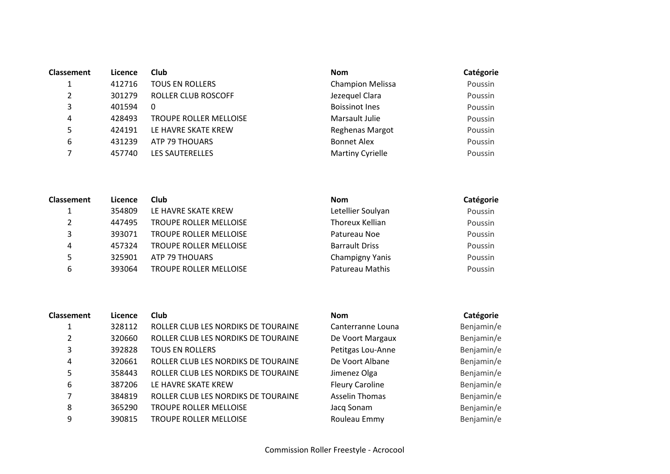| <b>Classement</b> | Licence | Club                          | <b>Nom</b>              | Catégorie |
|-------------------|---------|-------------------------------|-------------------------|-----------|
|                   | 412716  | <b>TOUS EN ROLLERS</b>        | <b>Champion Melissa</b> | Poussin   |
| 2                 | 301279  | ROLLER CLUB ROSCOFF           | Jezequel Clara          | Poussin   |
| 3                 | 401594  | 0                             | <b>Boissinot Ines</b>   | Poussin   |
| 4                 | 428493  | <b>TROUPE ROLLER MELLOISE</b> | Marsault Julie          | Poussin   |
| 5                 | 424191  | LE HAVRE SKATE KREW           | Reghenas Margot         | Poussin   |
| 6                 | 431239  | ATP 79 THOUARS                | <b>Bonnet Alex</b>      | Poussin   |
|                   | 457740  | <b>LES SAUTERELLES</b>        | <b>Martiny Cyrielle</b> | Poussin   |

| <b>Classement</b> | Licence | Club                          | <b>Nom</b>            | Catégorie |
|-------------------|---------|-------------------------------|-----------------------|-----------|
|                   | 354809  | LE HAVRE SKATE KREW           | Letellier Soulyan     | Poussin   |
| 2                 | 447495  | <b>TROUPE ROLLER MELLOISE</b> | Thoreux Kellian       | Poussin   |
| 3                 | 393071  | <b>TROUPE ROLLER MELLOISE</b> | Patureau Noe          | Poussin   |
| 4                 | 457324  | <b>TROUPE ROLLER MELLOISE</b> | <b>Barrault Driss</b> | Poussin   |
| 5                 | 325901  | ATP 79 THOUARS                | Champigny Yanis       | Poussin   |
| 6                 | 393064  | <b>TROUPE ROLLER MELLOISE</b> | Patureau Mathis       | Poussin   |

| <b>Classement</b> | Licence | <b>Club</b>                         | <b>Nom</b>             | Catégorie  |
|-------------------|---------|-------------------------------------|------------------------|------------|
|                   | 328112  | ROLLER CLUB LES NORDIKS DE TOURAINE | Canterranne Louna      | Benjamin/e |
| 2                 | 320660  | ROLLER CLUB LES NORDIKS DE TOURAINE | De Voort Margaux       | Benjamin/e |
| 3                 | 392828  | <b>TOUS EN ROLLERS</b>              | Petitgas Lou-Anne      | Benjamin/e |
| 4                 | 320661  | ROLLER CLUB LES NORDIKS DE TOURAINE | De Voort Albane        | Benjamin/e |
| 5                 | 358443  | ROLLER CLUB LES NORDIKS DE TOURAINE | Jimenez Olga           | Benjamin/e |
| 6                 | 387206  | LE HAVRE SKATE KREW                 | <b>Fleury Caroline</b> | Benjamin/e |
|                   | 384819  | ROLLER CLUB LES NORDIKS DE TOURAINE | <b>Asselin Thomas</b>  | Benjamin/e |
| 8                 | 365290  | <b>TROUPE ROLLER MELLOISE</b>       | Jacq Sonam             | Benjamin/e |
| 9                 | 390815  | TROUPE ROLLER MELLOISE              | Rouleau Emmy           | Benjamin/e |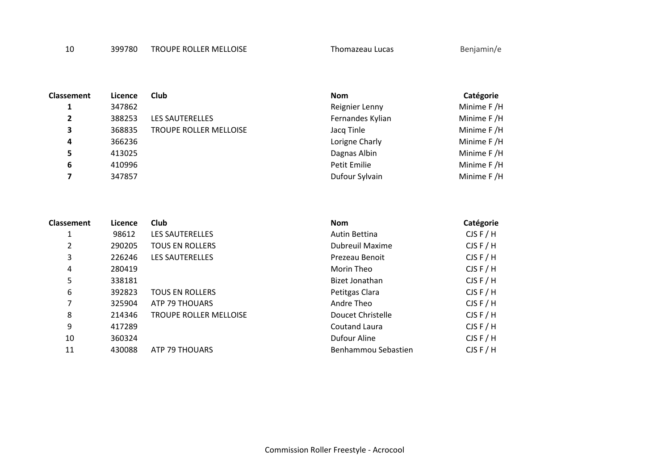10 399780 TROUPE ROLLER MELLOISE Thomazeau Lucas Benjamin/e

| <b>Classement</b> | Licence | <b>Club</b>                   | <b>Nom</b>       | Catégorie  |
|-------------------|---------|-------------------------------|------------------|------------|
|                   | 347862  |                               | Reignier Lenny   | Minime F/H |
| $\overline{2}$    | 388253  | <b>LES SAUTERELLES</b>        | Fernandes Kylian | Minime F/H |
| 3                 | 368835  | <b>TROUPE ROLLER MELLOISE</b> | Jacq Tinle       | Minime F/H |
| 4                 | 366236  |                               | Lorigne Charly   | Minime F/H |
| 5                 | 413025  |                               | Dagnas Albin     | Minime F/H |
| 6                 | 410996  |                               | Petit Emilie     | Minime F/H |
|                   | 347857  |                               | Dufour Sylvain   | Minime F/H |

| <b>Classement</b> | Licence | Club                          | <b>Nom</b>             | Catégorie |
|-------------------|---------|-------------------------------|------------------------|-----------|
| 1                 | 98612   | LES SAUTERELLES               | Autin Bettina          | CJSF/H    |
| 2                 | 290205  | <b>TOUS EN ROLLERS</b>        | <b>Dubreuil Maxime</b> | CJSF/H    |
| 3                 | 226246  | <b>LES SAUTERELLES</b>        | Prezeau Benoit         | CJSF/H    |
| 4                 | 280419  |                               | Morin Theo             | CJSF/H    |
| 5                 | 338181  |                               | Bizet Jonathan         | CJSF/H    |
| 6                 | 392823  | <b>TOUS EN ROLLERS</b>        | Petitgas Clara         | CJSF/H    |
| 7                 | 325904  | ATP 79 THOUARS                | Andre Theo             | CJSF/H    |
| 8                 | 214346  | <b>TROUPE ROLLER MELLOISE</b> | Doucet Christelle      | CJSF/H    |
| 9                 | 417289  |                               | <b>Coutand Laura</b>   | CJSF/H    |
| 10                | 360324  |                               | Dufour Aline           | CJSF/H    |
| 11                | 430088  | ATP 79 THOUARS                | Benhammou Sebastien    | CJSF/H    |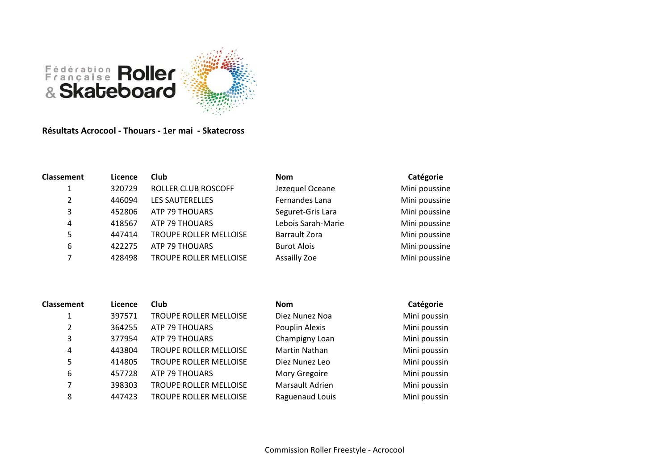

## **Résultats Acrocool - Thouars - 1er mai - Skatecross**

| Classement | Licence | <b>Club</b>                   | <b>Nom</b>           | Catégorie     |
|------------|---------|-------------------------------|----------------------|---------------|
| 1          | 320729  | <b>ROLLER CLUB ROSCOFF</b>    | Jezequel Oceane      | Mini poussine |
| 2          | 446094  | LES SAUTERELLES               | Fernandes Lana       | Mini poussine |
| 3          | 452806  | ATP 79 THOUARS                | Seguret-Gris Lara    | Mini poussine |
| 4          | 418567  | ATP 79 THOUARS                | Lebois Sarah-Marie   | Mini poussine |
| 5          | 447414  | TROUPE ROLLER MELLOISE        | <b>Barrault Zora</b> | Mini poussine |
| 6          | 422275  | ATP 79 THOUARS                | <b>Burot Alois</b>   | Mini poussine |
|            | 428498  | <b>TROUPE ROLLER MELLOISE</b> | Assailly Zoe         | Mini poussine |

| <b>Classement</b> | Licence | Club                          | <b>Nom</b>      | Catégorie    |
|-------------------|---------|-------------------------------|-----------------|--------------|
| 1                 | 397571  | TROUPE ROLLER MELLOISE        | Diez Nunez Noa  | Mini poussin |
| 2                 | 364255  | ATP 79 THOUARS                | Pouplin Alexis  | Mini poussin |
| 3                 | 377954  | ATP 79 THOUARS                | Champigny Loan  | Mini poussin |
| 4                 | 443804  | <b>TROUPE ROLLER MELLOISE</b> | Martin Nathan   | Mini poussin |
| 5                 | 414805  | <b>TROUPE ROLLER MELLOISE</b> | Diez Nunez Leo  | Mini poussin |
| 6                 | 457728  | ATP 79 THOUARS                | Mory Gregoire   | Mini poussin |
| 7                 | 398303  | <b>TROUPE ROLLER MELLOISE</b> | Marsault Adrien | Mini poussin |
| 8                 | 447423  | <b>TROUPE ROLLER MELLOISE</b> | Raguenaud Louis | Mini poussin |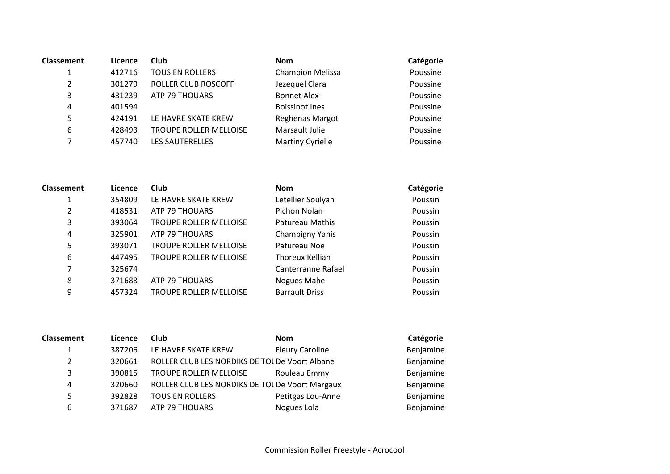| <b>Classement</b> | Licence | <b>Club</b>            | <b>Nom</b>              | Catégorie |
|-------------------|---------|------------------------|-------------------------|-----------|
| 1                 | 412716  | <b>TOUS EN ROLLERS</b> | <b>Champion Melissa</b> | Poussine  |
| 2                 | 301279  | ROLLER CLUB ROSCOFF    | Jezequel Clara          | Poussine  |
| 3                 | 431239  | ATP 79 THOUARS         | <b>Bonnet Alex</b>      | Poussine  |
| 4                 | 401594  |                        | <b>Boissinot Ines</b>   | Poussine  |
| 5                 | 424191  | LE HAVRE SKATE KREW    | Reghenas Margot         | Poussine  |
| 6                 | 428493  | TROUPE ROLLER MELLOISE | Marsault Julie          | Poussine  |
| 7                 | 457740  | <b>LES SAUTERELLES</b> | <b>Martiny Cyrielle</b> | Poussine  |
|                   |         |                        |                         |           |

| <b>Classement</b> | Licence | <b>Club</b>                   | <b>Nom</b>            | Catégorie |
|-------------------|---------|-------------------------------|-----------------------|-----------|
| 1                 | 354809  | LE HAVRE SKATE KREW           | Letellier Soulyan     | Poussin   |
| $\overline{2}$    | 418531  | ATP 79 THOUARS                | Pichon Nolan          | Poussin   |
| 3                 | 393064  | TROUPE ROLLER MELLOISE        | Patureau Mathis       | Poussin   |
| 4                 | 325901  | ATP 79 THOUARS                | Champigny Yanis       | Poussin   |
| 5                 | 393071  | <b>TROUPE ROLLER MELLOISE</b> | Patureau Noe          | Poussin   |
| 6                 | 447495  | <b>TROUPE ROLLER MELLOISE</b> | Thoreux Kellian       | Poussin   |
| 7                 | 325674  |                               | Canterranne Rafael    | Poussin   |
| 8                 | 371688  | ATP 79 THOUARS                | Nogues Mahe           | Poussin   |
| 9                 | 457324  | <b>TROUPE ROLLER MELLOISE</b> | <b>Barrault Driss</b> | Poussin   |

| <b>Classement</b> | Licence | <b>Club</b>                                     | <b>Nom</b>             | Catégorie |
|-------------------|---------|-------------------------------------------------|------------------------|-----------|
| $\mathbf{1}$      | 387206  | LE HAVRE SKATE KREW                             | <b>Fleury Caroline</b> | Benjamine |
| 2                 | 320661  | ROLLER CLUB LES NORDIKS DE TOL De Voort Albane  |                        | Benjamine |
| 3                 | 390815  | TROUPE ROLLER MELLOISE                          | Rouleau Emmy           | Benjamine |
| 4                 | 320660  | ROLLER CLUB LES NORDIKS DE TOL De Voort Margaux |                        | Benjamine |
| 5                 | 392828  | <b>TOUS EN ROLLERS</b>                          | Petitgas Lou-Anne      | Benjamine |
| 6                 | 371687  | ATP 79 THOUARS                                  | Nogues Lola            | Benjamine |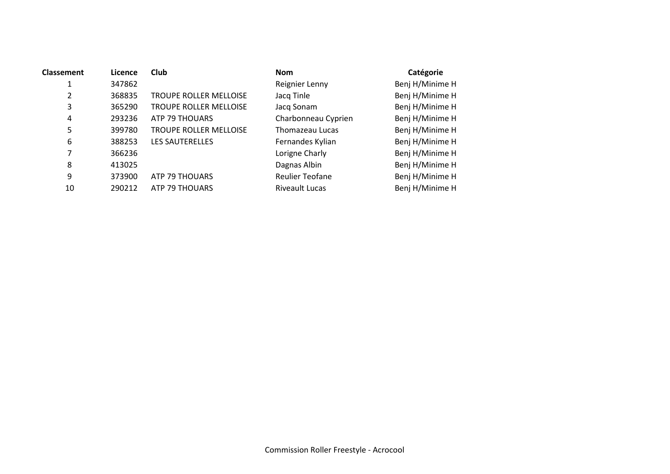| Classement | Licence | Club                          | <b>Nom</b>             | Catégorie       |
|------------|---------|-------------------------------|------------------------|-----------------|
| 1          | 347862  |                               | Reignier Lenny         | Benj H/Minime H |
| 2          | 368835  | <b>TROUPE ROLLER MELLOISE</b> | Jacq Tinle             | Benj H/Minime H |
| 3          | 365290  | <b>TROUPE ROLLER MELLOISE</b> | Jacq Sonam             | Benj H/Minime H |
| 4          | 293236  | ATP 79 THOUARS                | Charbonneau Cyprien    | Benj H/Minime H |
| 5          | 399780  | <b>TROUPE ROLLER MELLOISE</b> | Thomazeau Lucas        | Benj H/Minime H |
| 6          | 388253  | <b>LES SAUTERELLES</b>        | Fernandes Kylian       | Benj H/Minime H |
| 7          | 366236  |                               | Lorigne Charly         | Benj H/Minime H |
| 8          | 413025  |                               | Dagnas Albin           | Benj H/Minime H |
| 9          | 373900  | ATP 79 THOUARS                | <b>Reulier Teofane</b> | Benj H/Minime H |
| 10         | 290212  | ATP 79 THOUARS                | <b>Riveault Lucas</b>  | Benj H/Minime H |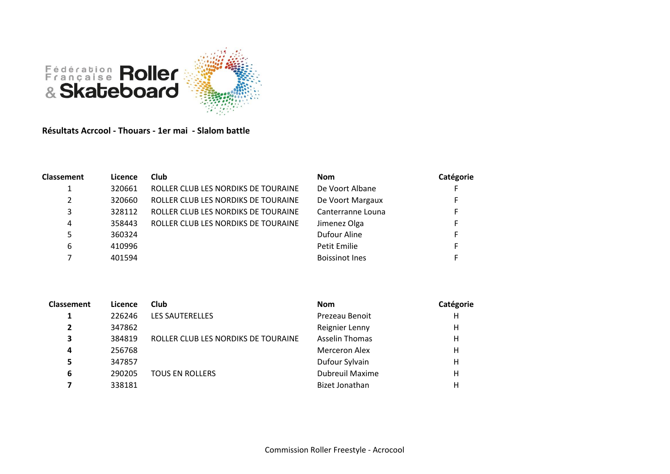

**Résultats Acrcool - Thouars - 1er mai - Slalom battle**

| <b>Classement</b> | Licence | <b>Club</b>                         | <b>Nom</b>            | Catégorie |
|-------------------|---------|-------------------------------------|-----------------------|-----------|
| 1                 | 320661  | ROLLER CLUB LES NORDIKS DE TOURAINE | De Voort Albane       | E.        |
| 2                 | 320660  | ROLLER CLUB LES NORDIKS DE TOURAINE | De Voort Margaux      |           |
| 3                 | 328112  | ROLLER CLUB LES NORDIKS DE TOURAINE | Canterranne Louna     |           |
| 4                 | 358443  | ROLLER CLUB LES NORDIKS DE TOURAINE | Jimenez Olga          | E.        |
| 5                 | 360324  |                                     | Dufour Aline          | Е.        |
| 6                 | 410996  |                                     | Petit Emilie          | Е.        |
|                   | 401594  |                                     | <b>Boissinot Ines</b> |           |

| <b>Classement</b> | Licence | Club                                | <b>Nom</b>             | Catégorie |
|-------------------|---------|-------------------------------------|------------------------|-----------|
| 1                 | 226246  | LES SAUTERELLES                     | Prezeau Benoit         | н         |
|                   | 347862  |                                     | Reignier Lenny         | Н         |
| 3                 | 384819  | ROLLER CLUB LES NORDIKS DE TOURAINE | <b>Asselin Thomas</b>  | н         |
| 4                 | 256768  |                                     | Merceron Alex          | Н         |
| 5                 | 347857  |                                     | Dufour Sylvain         | н         |
| 6                 | 290205  | <b>TOUS EN ROLLERS</b>              | <b>Dubreuil Maxime</b> | Н         |
|                   | 338181  |                                     | <b>Bizet Jonathan</b>  | Н         |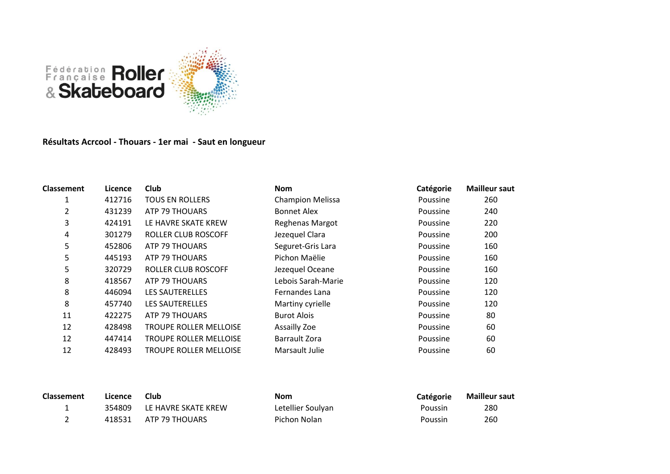

## **Résultats Acrcool - Thouars - 1er mai - Saut en longueur**

| <b>Classement</b> | Licence | <b>Club</b>                   | <b>Nom</b>              | Catégorie | <b>Mailleur saut</b> |
|-------------------|---------|-------------------------------|-------------------------|-----------|----------------------|
| 1                 | 412716  | <b>TOUS EN ROLLERS</b>        | <b>Champion Melissa</b> | Poussine  | 260                  |
| 2                 | 431239  | ATP 79 THOUARS                | <b>Bonnet Alex</b>      | Poussine  | 240                  |
| 3                 | 424191  | LE HAVRE SKATE KREW           | Reghenas Margot         | Poussine  | 220                  |
| 4                 | 301279  | ROLLER CLUB ROSCOFF           | Jezequel Clara          | Poussine  | 200                  |
| 5                 | 452806  | ATP 79 THOUARS                | Seguret-Gris Lara       | Poussine  | 160                  |
| 5                 | 445193  | ATP 79 THOUARS                | Pichon Maëlie           | Poussine  | 160                  |
| 5                 | 320729  | ROLLER CLUB ROSCOFF           | Jezequel Oceane         | Poussine  | 160                  |
| 8                 | 418567  | ATP 79 THOUARS                | Lebois Sarah-Marie      | Poussine  | 120                  |
| 8                 | 446094  | <b>LES SAUTERELLES</b>        | Fernandes Lana          | Poussine  | 120                  |
| 8                 | 457740  | <b>LES SAUTERELLES</b>        | Martiny cyrielle        | Poussine  | 120                  |
| 11                | 422275  | ATP 79 THOUARS                | <b>Burot Alois</b>      | Poussine  | 80                   |
| 12                | 428498  | <b>TROUPE ROLLER MELLOISE</b> | Assailly Zoe            | Poussine  | 60                   |
| 12                | 447414  | <b>TROUPE ROLLER MELLOISE</b> | Barrault Zora           | Poussine  | 60                   |
| 12                | 428493  | <b>TROUPE ROLLER MELLOISE</b> | Marsault Julie          | Poussine  | 60                   |

| <b>Classement</b> | Licence | Club                       | <b>Nom</b>        | <b>Catégorie</b> | <b>Mailleur saut</b> |
|-------------------|---------|----------------------------|-------------------|------------------|----------------------|
|                   |         | 354809 LE HAVRE SKATE KREW | Letellier Soulyan | Poussin          | 280                  |
|                   |         | 418531 ATP 79 THOUARS      | Pichon Nolan      | Poussin          | 260                  |